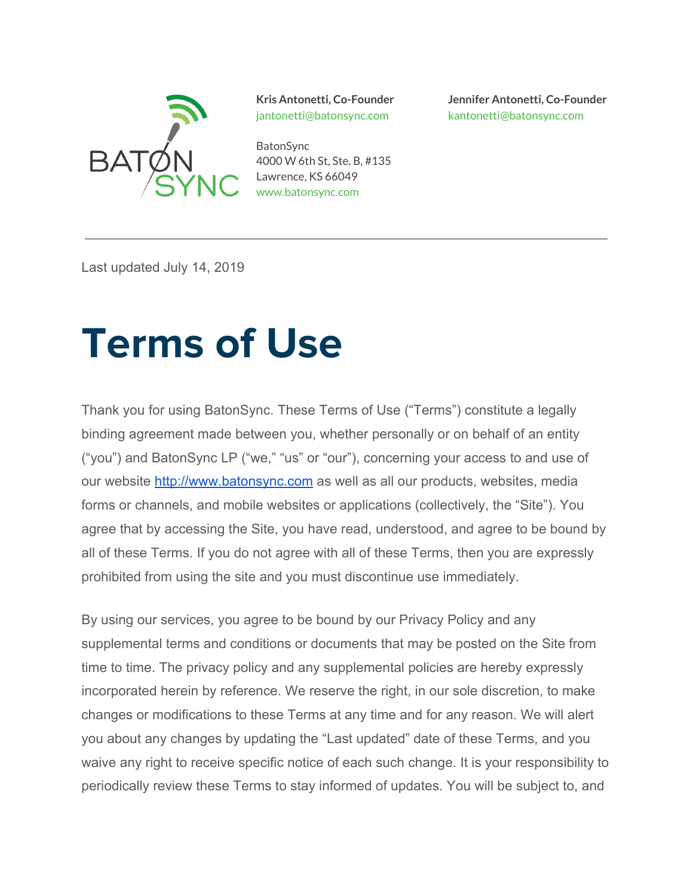

jantonetti@batonsync.com kantonetti@batonsync.com

**BatonSync** 4000 W 6th St, Ste. B, #135 Lawrence, KS 66049 www.batonsync.com

**Kris Antonetti, Co-Founder Jennifer Antonetti, Co-Founder**

Last updated July 14, 2019

# **Terms of Use**

Thank you for using BatonSync. These Terms of Use ("Terms") constitute a legally binding agreement made between you, whether personally or on behalf of an entity ("you") and BatonSync LP ("we," "us" or "our"), concerning your access to and use of our website [http://www.batonsync.com](http://www.batonsync.com/) as well as all our products, websites, media forms or channels, and mobile websites or applications (collectively, the "Site"). You agree that by accessing the Site, you have read, understood, and agree to be bound by all of these Terms. If you do not agree with all of these Terms, then you are expressly prohibited from using the site and you must discontinue use immediately.

By using our services, you agree to be bound by our Privacy Policy and any supplemental terms and conditions or documents that may be posted on the Site from time to time. The privacy policy and any supplemental policies are hereby expressly incorporated herein by reference. We reserve the right, in our sole discretion, to make changes or modifications to these Terms at any time and for any reason. We will alert you about any changes by updating the "Last updated" date of these Terms, and you waive any right to receive specific notice of each such change. It is your responsibility to periodically review these Terms to stay informed of updates. You will be subject to, and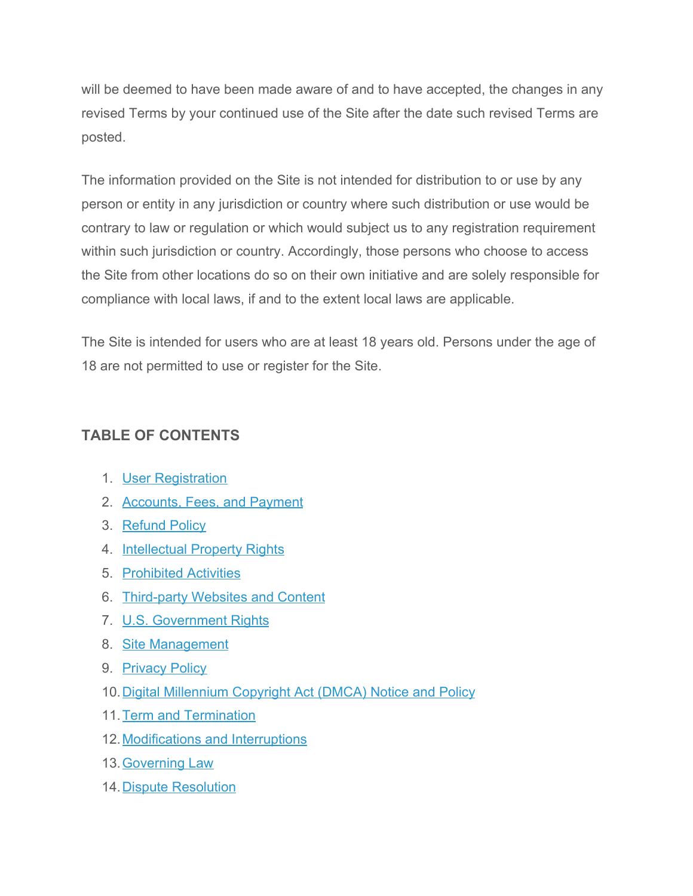will be deemed to have been made aware of and to have accepted, the changes in any revised Terms by your continued use of the Site after the date such revised Terms are posted.

The information provided on the Site is not intended for distribution to or use by any person or entity in any jurisdiction or country where such distribution or use would be contrary to law or regulation or which would subject us to any registration requirement within such jurisdiction or country. Accordingly, those persons who choose to access the Site from other locations do so on their own initiative and are solely responsible for compliance with local laws, if and to the extent local laws are applicable.

The Site is intended for users who are at least 18 years old. Persons under the age of 18 are not permitted to use or register for the Site.

# **TABLE OF CONTENTS**

- 1. [User Registration](https://legaltemplates.net/terms-of-use/#User)
- 2. [Accounts, Fees, and Payment](https://legaltemplates.net/terms-of-use/#Accounts)
- 3. [Refund Policy](https://legaltemplates.net/terms-of-use/#Refund)
- 4. [Intellectual Property Rights](https://legaltemplates.net/terms-of-use/#IP)
- 5. [Prohibited Activities](https://legaltemplates.net/terms-of-use/#Prohibited)
- 6. [Third-party Websites and Content](https://legaltemplates.net/terms-of-use/#Third-party)
- 7. [U.S. Government Rights](https://legaltemplates.net/terms-of-use/#US-Gov)
- 8. [Site Management](https://legaltemplates.net/terms-of-use/#Site)
- 9. [Privacy Policy](https://legaltemplates.net/terms-of-use/#Privacy)
- 10. [Digital Millennium Copyright Act \(DMCA\) Notice and Policy](https://legaltemplates.net/terms-of-use/#DMCA)
- 11.[Term and Termination](https://legaltemplates.net/terms-of-use/#Term)
- 12. [Modifications and Interruptions](https://legaltemplates.net/terms-of-use/#Modifications)
- 13.[Governing Law](https://legaltemplates.net/terms-of-use/#Governing)
- 14.[Dispute Resolution](https://legaltemplates.net/terms-of-use/#Dispute)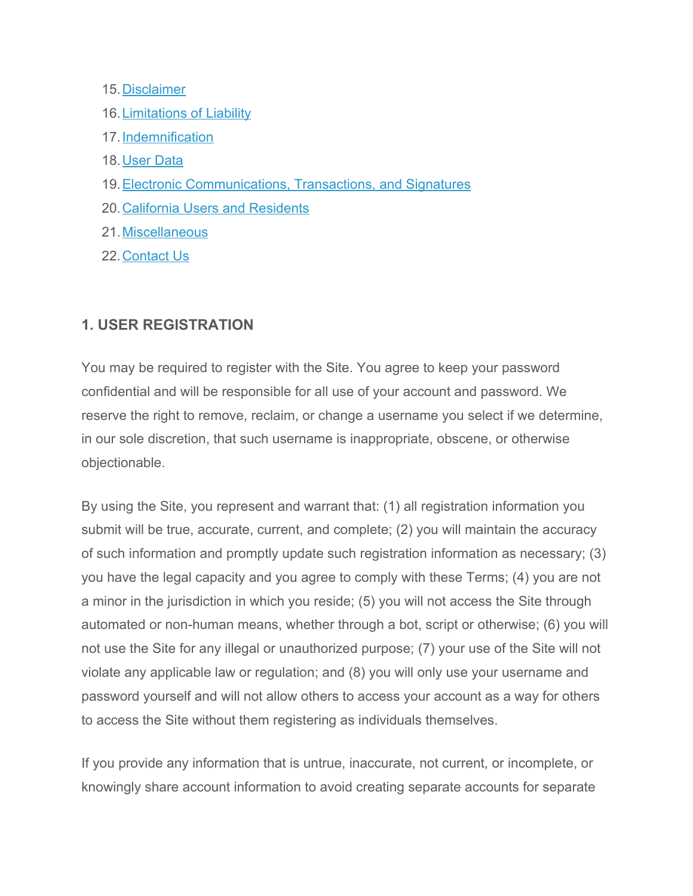#### 15.[Disclaimer](https://legaltemplates.net/terms-of-use/#Disclaimer)

- 16.[Limitations of Liability](https://legaltemplates.net/terms-of-use/#Limitations)
- 17.[Indemnification](https://legaltemplates.net/terms-of-use/#Indemnification)
- 18.[User Data](https://legaltemplates.net/terms-of-use/#Data)
- 19.[Electronic Communications, Transactions, and Signatures](https://legaltemplates.net/terms-of-use/#Electronic)
- 20.[California Users and Residents](https://legaltemplates.net/terms-of-use/#CA)
- 21.[Miscellaneous](https://legaltemplates.net/terms-of-use/#Misc)
- 22.[Contact Us](https://legaltemplates.net/terms-of-use/#Contact)

# **1. USER REGISTRATION**

You may be required to register with the Site. You agree to keep your password confidential and will be responsible for all use of your account and password. We reserve the right to remove, reclaim, or change a username you select if we determine, in our sole discretion, that such username is inappropriate, obscene, or otherwise objectionable.

By using the Site, you represent and warrant that: (1) all registration information you submit will be true, accurate, current, and complete; (2) you will maintain the accuracy of such information and promptly update such registration information as necessary; (3) you have the legal capacity and you agree to comply with these Terms; (4) you are not a minor in the jurisdiction in which you reside; (5) you will not access the Site through automated or non-human means, whether through a bot, script or otherwise; (6) you will not use the Site for any illegal or unauthorized purpose; (7) your use of the Site will not violate any applicable law or regulation; and (8) you will only use your username and password yourself and will not allow others to access your account as a way for others to access the Site without them registering as individuals themselves.

If you provide any information that is untrue, inaccurate, not current, or incomplete, or knowingly share account information to avoid creating separate accounts for separate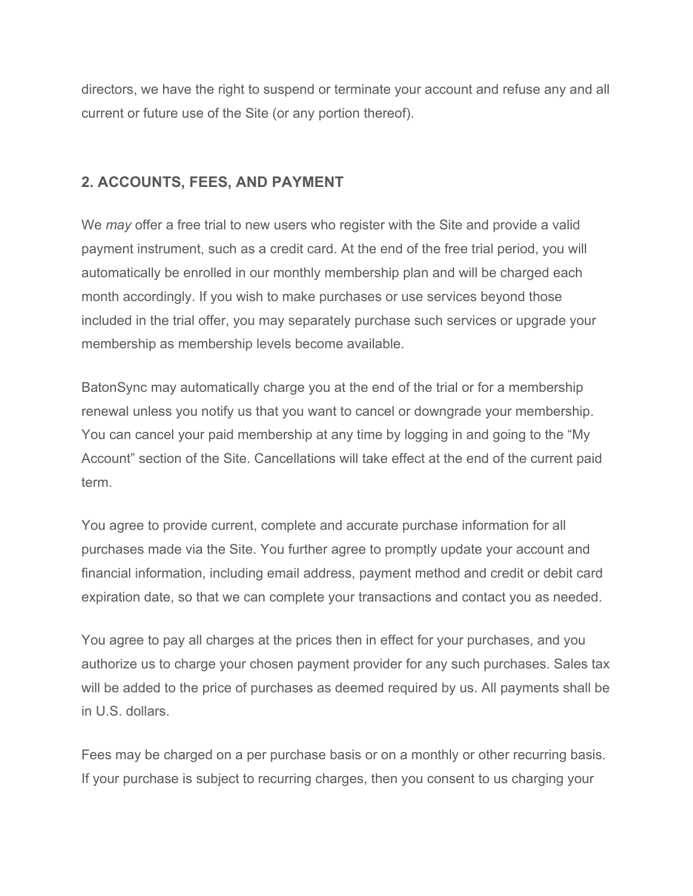directors, we have the right to suspend or terminate your account and refuse any and all current or future use of the Site (or any portion thereof).

# **2. ACCOUNTS, FEES, AND PAYMENT**

We *may* offer a free trial to new users who register with the Site and provide a valid payment instrument, such as a credit card. At the end of the free trial period, you will automatically be enrolled in our monthly membership plan and will be charged each month accordingly. If you wish to make purchases or use services beyond those included in the trial offer, you may separately purchase such services or upgrade your membership as membership levels become available.

BatonSync may automatically charge you at the end of the trial or for a membership renewal unless you notify us that you want to cancel or downgrade your membership. You can cancel your paid membership at any time by logging in and going to the "My Account" section of the Site. Cancellations will take effect at the end of the current paid term.

You agree to provide current, complete and accurate purchase information for all purchases made via the Site. You further agree to promptly update your account and financial information, including email address, payment method and credit or debit card expiration date, so that we can complete your transactions and contact you as needed.

You agree to pay all charges at the prices then in effect for your purchases, and you authorize us to charge your chosen payment provider for any such purchases. Sales tax will be added to the price of purchases as deemed required by us. All payments shall be in U.S. dollars.

Fees may be charged on a per purchase basis or on a monthly or other recurring basis. If your purchase is subject to recurring charges, then you consent to us charging your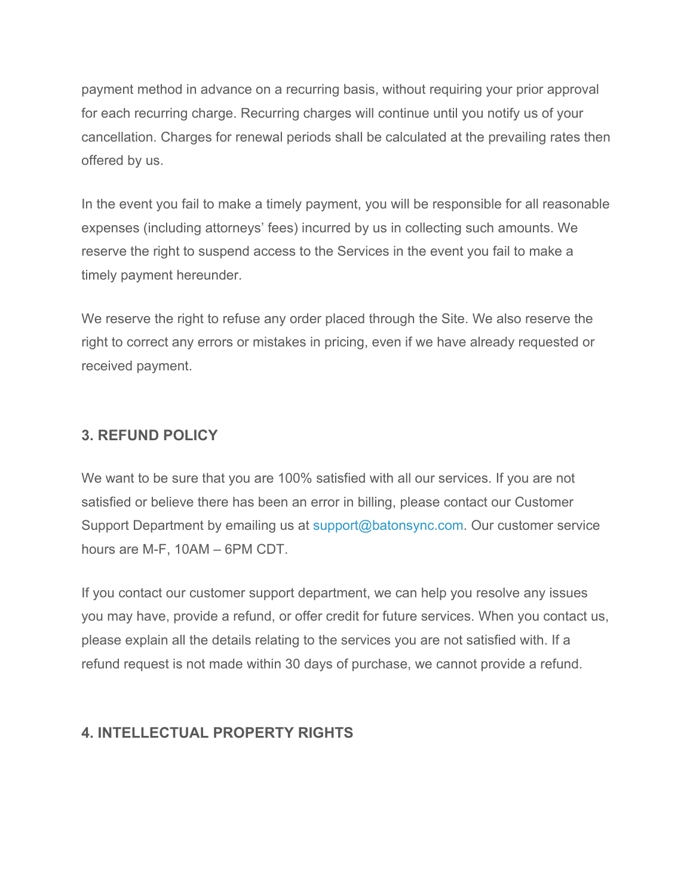payment method in advance on a recurring basis, without requiring your prior approval for each recurring charge. Recurring charges will continue until you notify us of your cancellation. Charges for renewal periods shall be calculated at the prevailing rates then offered by us.

In the event you fail to make a timely payment, you will be responsible for all reasonable expenses (including attorneys' fees) incurred by us in collecting such amounts. We reserve the right to suspend access to the Services in the event you fail to make a timely payment hereunder.

We reserve the right to refuse any order placed through the Site. We also reserve the right to correct any errors or mistakes in pricing, even if we have already requested or received payment.

# **3. REFUND POLICY**

We want to be sure that you are 100% satisfied with all our services. If you are not satisfied or believe there has been an error in billing, please contact our Customer Support Department by emailing us at support@batonsync.com. Our customer service hours are M-F, 10AM – 6PM CDT.

If you contact our customer support department, we can help you resolve any issues you may have, provide a refund, or offer credit for future services. When you contact us, please explain all the details relating to the services you are not satisfied with. If a refund request is not made within 30 days of purchase, we cannot provide a refund.

# **4. INTELLECTUAL PROPERTY RIGHTS**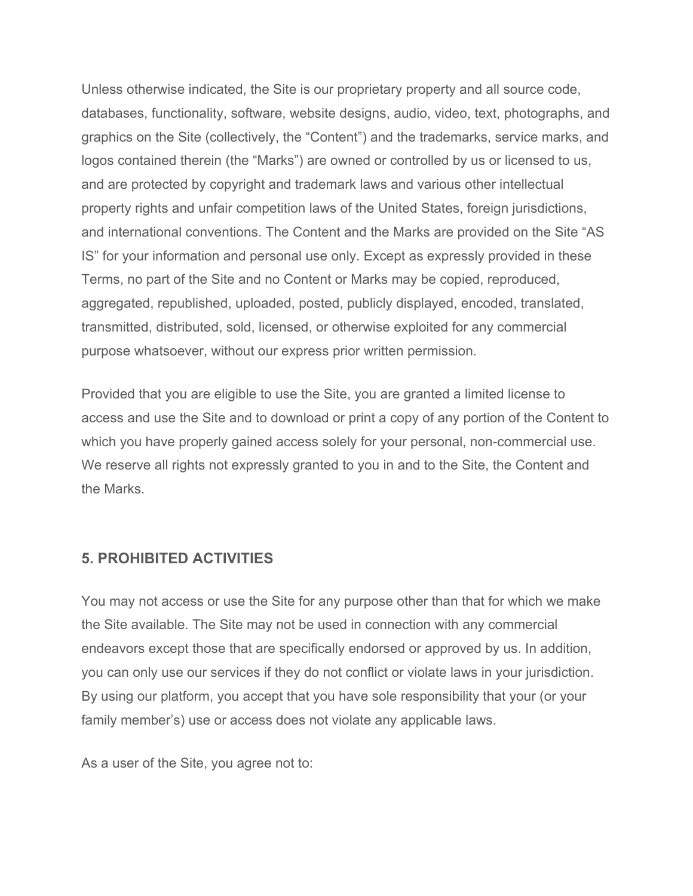Unless otherwise indicated, the Site is our proprietary property and all source code, databases, functionality, software, website designs, audio, video, text, photographs, and graphics on the Site (collectively, the "Content") and the trademarks, service marks, and logos contained therein (the "Marks") are owned or controlled by us or licensed to us, and are protected by copyright and trademark laws and various other intellectual property rights and unfair competition laws of the United States, foreign jurisdictions, and international conventions. The Content and the Marks are provided on the Site "AS IS" for your information and personal use only. Except as expressly provided in these Terms, no part of the Site and no Content or Marks may be copied, reproduced, aggregated, republished, uploaded, posted, publicly displayed, encoded, translated, transmitted, distributed, sold, licensed, or otherwise exploited for any commercial purpose whatsoever, without our express prior written permission.

Provided that you are eligible to use the Site, you are granted a limited license to access and use the Site and to download or print a copy of any portion of the Content to which you have properly gained access solely for your personal, non-commercial use. We reserve all rights not expressly granted to you in and to the Site, the Content and the Marks.

#### **5. PROHIBITED ACTIVITIES**

You may not access or use the Site for any purpose other than that for which we make the Site available. The Site may not be used in connection with any commercial endeavors except those that are specifically endorsed or approved by us. In addition, you can only use our services if they do not conflict or violate laws in your jurisdiction. By using our platform, you accept that you have sole responsibility that your (or your family member's) use or access does not violate any applicable laws.

As a user of the Site, you agree not to: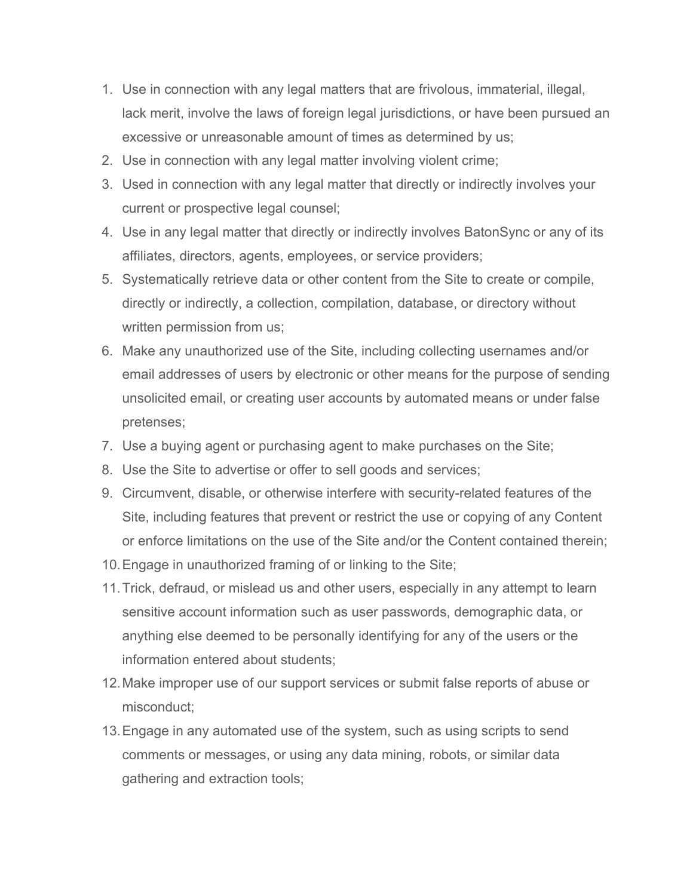- 1. Use in connection with any legal matters that are frivolous, immaterial, illegal, lack merit, involve the laws of foreign legal jurisdictions, or have been pursued an excessive or unreasonable amount of times as determined by us;
- 2. Use in connection with any legal matter involving violent crime;
- 3. Used in connection with any legal matter that directly or indirectly involves your current or prospective legal counsel;
- 4. Use in any legal matter that directly or indirectly involves BatonSync or any of its affiliates, directors, agents, employees, or service providers;
- 5. Systematically retrieve data or other content from the Site to create or compile, directly or indirectly, a collection, compilation, database, or directory without written permission from us;
- 6. Make any unauthorized use of the Site, including collecting usernames and/or email addresses of users by electronic or other means for the purpose of sending unsolicited email, or creating user accounts by automated means or under false pretenses;
- 7. Use a buying agent or purchasing agent to make purchases on the Site;
- 8. Use the Site to advertise or offer to sell goods and services;
- 9. Circumvent, disable, or otherwise interfere with security-related features of the Site, including features that prevent or restrict the use or copying of any Content or enforce limitations on the use of the Site and/or the Content contained therein;
- 10.Engage in unauthorized framing of or linking to the Site;
- 11.Trick, defraud, or mislead us and other users, especially in any attempt to learn sensitive account information such as user passwords, demographic data, or anything else deemed to be personally identifying for any of the users or the information entered about students;
- 12.Make improper use of our support services or submit false reports of abuse or misconduct;
- 13.Engage in any automated use of the system, such as using scripts to send comments or messages, or using any data mining, robots, or similar data gathering and extraction tools;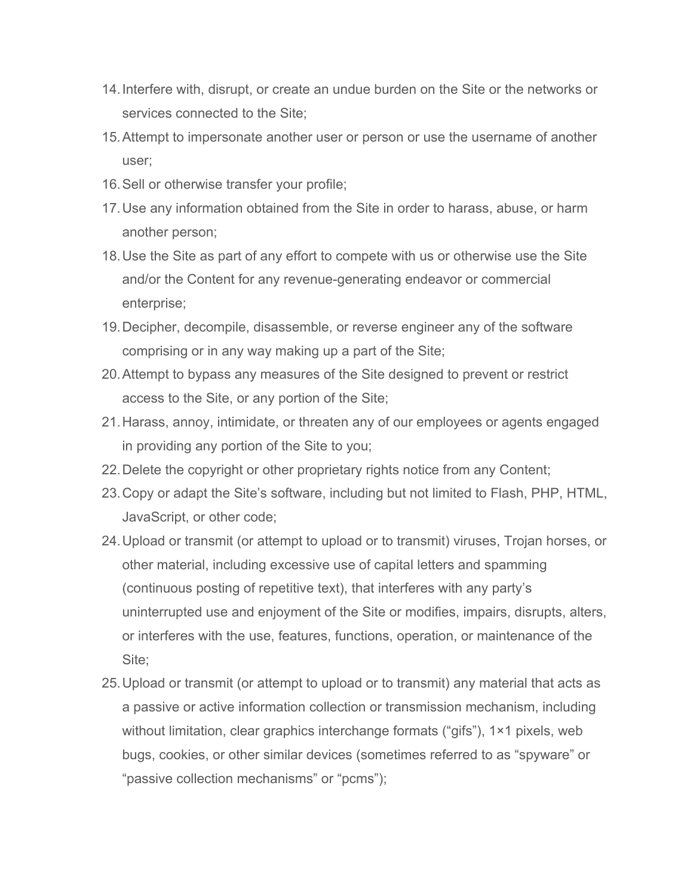- 14.Interfere with, disrupt, or create an undue burden on the Site or the networks or services connected to the Site;
- 15.Attempt to impersonate another user or person or use the username of another user;
- 16.Sell or otherwise transfer your profile;
- 17.Use any information obtained from the Site in order to harass, abuse, or harm another person;
- 18.Use the Site as part of any effort to compete with us or otherwise use the Site and/or the Content for any revenue-generating endeavor or commercial enterprise;
- 19.Decipher, decompile, disassemble, or reverse engineer any of the software comprising or in any way making up a part of the Site;
- 20.Attempt to bypass any measures of the Site designed to prevent or restrict access to the Site, or any portion of the Site;
- 21.Harass, annoy, intimidate, or threaten any of our employees or agents engaged in providing any portion of the Site to you;
- 22.Delete the copyright or other proprietary rights notice from any Content;
- 23.Copy or adapt the Site's software, including but not limited to Flash, PHP, HTML, JavaScript, or other code;
- 24.Upload or transmit (or attempt to upload or to transmit) viruses, Trojan horses, or other material, including excessive use of capital letters and spamming (continuous posting of repetitive text), that interferes with any party's uninterrupted use and enjoyment of the Site or modifies, impairs, disrupts, alters, or interferes with the use, features, functions, operation, or maintenance of the Site;
- 25.Upload or transmit (or attempt to upload or to transmit) any material that acts as a passive or active information collection or transmission mechanism, including without limitation, clear graphics interchange formats ("gifs"), 1×1 pixels, web bugs, cookies, or other similar devices (sometimes referred to as "spyware" or "passive collection mechanisms" or "pcms");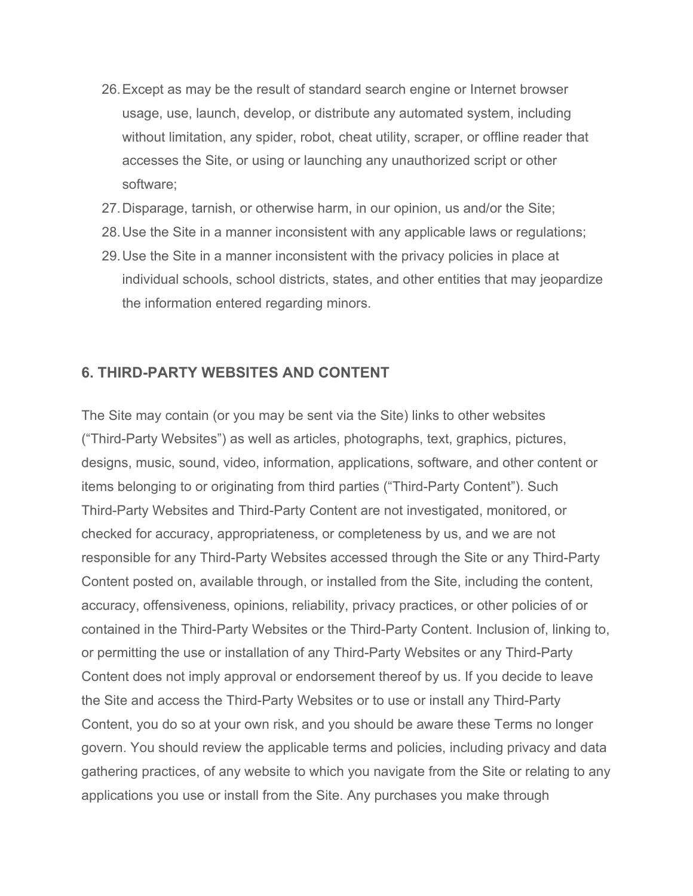- 26.Except as may be the result of standard search engine or Internet browser usage, use, launch, develop, or distribute any automated system, including without limitation, any spider, robot, cheat utility, scraper, or offline reader that accesses the Site, or using or launching any unauthorized script or other software;
- 27.Disparage, tarnish, or otherwise harm, in our opinion, us and/or the Site;
- 28.Use the Site in a manner inconsistent with any applicable laws or regulations;
- 29.Use the Site in a manner inconsistent with the privacy policies in place at individual schools, school districts, states, and other entities that may jeopardize the information entered regarding minors.

#### **6. THIRD-PARTY WEBSITES AND CONTENT**

The Site may contain (or you may be sent via the Site) links to other websites ("Third-Party Websites") as well as articles, photographs, text, graphics, pictures, designs, music, sound, video, information, applications, software, and other content or items belonging to or originating from third parties ("Third-Party Content"). Such Third-Party Websites and Third-Party Content are not investigated, monitored, or checked for accuracy, appropriateness, or completeness by us, and we are not responsible for any Third-Party Websites accessed through the Site or any Third-Party Content posted on, available through, or installed from the Site, including the content, accuracy, offensiveness, opinions, reliability, privacy practices, or other policies of or contained in the Third-Party Websites or the Third-Party Content. Inclusion of, linking to, or permitting the use or installation of any Third-Party Websites or any Third-Party Content does not imply approval or endorsement thereof by us. If you decide to leave the Site and access the Third-Party Websites or to use or install any Third-Party Content, you do so at your own risk, and you should be aware these Terms no longer govern. You should review the applicable terms and policies, including privacy and data gathering practices, of any website to which you navigate from the Site or relating to any applications you use or install from the Site. Any purchases you make through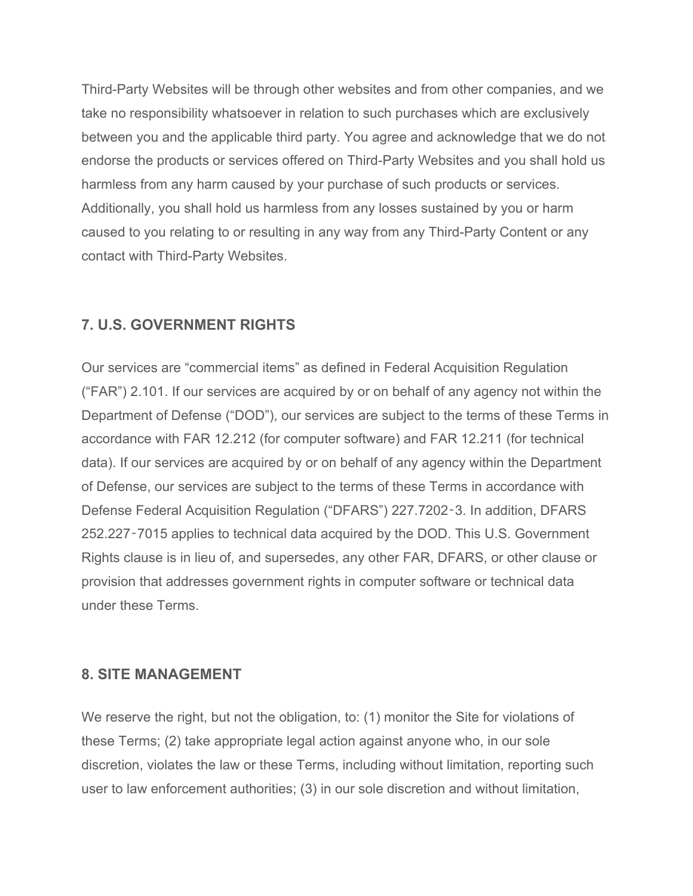Third-Party Websites will be through other websites and from other companies, and we take no responsibility whatsoever in relation to such purchases which are exclusively between you and the applicable third party. You agree and acknowledge that we do not endorse the products or services offered on Third-Party Websites and you shall hold us harmless from any harm caused by your purchase of such products or services. Additionally, you shall hold us harmless from any losses sustained by you or harm caused to you relating to or resulting in any way from any Third-Party Content or any contact with Third-Party Websites.

# **7. U.S. GOVERNMENT RIGHTS**

Our services are "commercial items" as defined in Federal Acquisition Regulation ("FAR") 2.101. If our services are acquired by or on behalf of any agency not within the Department of Defense ("DOD"), our services are subject to the terms of these Terms in accordance with FAR 12.212 (for computer software) and FAR 12.211 (for technical data). If our services are acquired by or on behalf of any agency within the Department of Defense, our services are subject to the terms of these Terms in accordance with Defense Federal Acquisition Regulation ("DFARS") 227.7202‑3. In addition, DFARS 252.227‑7015 applies to technical data acquired by the DOD. This U.S. Government Rights clause is in lieu of, and supersedes, any other FAR, DFARS, or other clause or provision that addresses government rights in computer software or technical data under these Terms.

#### **8. SITE MANAGEMENT**

We reserve the right, but not the obligation, to: (1) monitor the Site for violations of these Terms; (2) take appropriate legal action against anyone who, in our sole discretion, violates the law or these Terms, including without limitation, reporting such user to law enforcement authorities; (3) in our sole discretion and without limitation,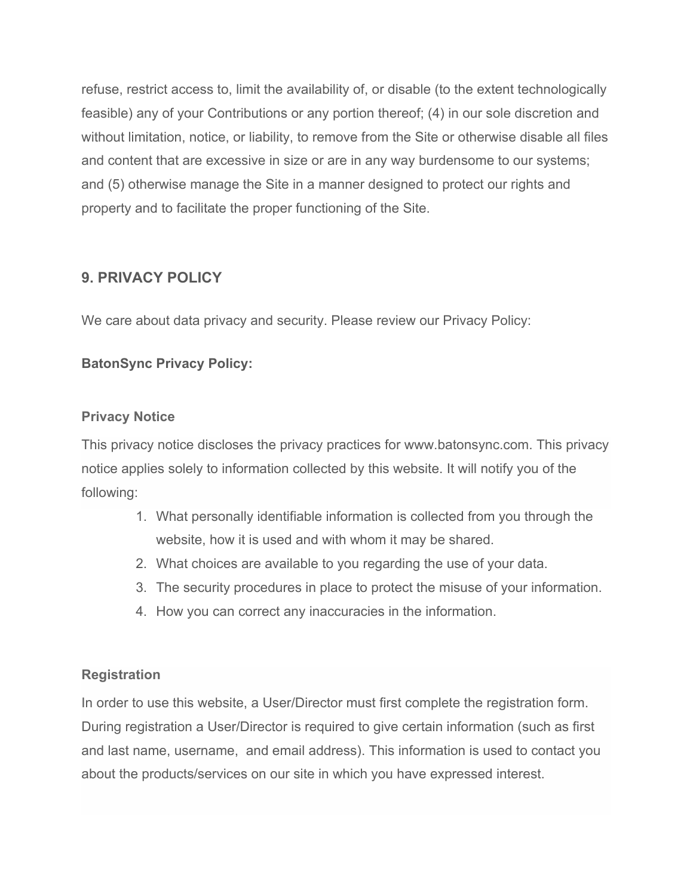refuse, restrict access to, limit the availability of, or disable (to the extent technologically feasible) any of your Contributions or any portion thereof; (4) in our sole discretion and without limitation, notice, or liability, to remove from the Site or otherwise disable all files and content that are excessive in size or are in any way burdensome to our systems; and (5) otherwise manage the Site in a manner designed to protect our rights and property and to facilitate the proper functioning of the Site.

# **9. PRIVACY POLICY**

We care about data privacy and security. Please review our Privacy Policy:

## **BatonSync Privacy Policy:**

#### **Privacy Notice**

This privacy notice discloses the privacy practices for www.batonsync.com. This privacy notice applies solely to information collected by this website. It will notify you of the following:

- 1. What personally identifiable information is collected from you through the website, how it is used and with whom it may be shared.
- 2. What choices are available to you regarding the use of your data.
- 3. The security procedures in place to protect the misuse of your information.
- 4. How you can correct any inaccuracies in the information.

#### **Registration**

In order to use this website, a User/Director must first complete the registration form. During registration a User/Director is required to give certain information (such as first and last name, username, and email address). This information is used to contact you about the products/services on our site in which you have expressed interest.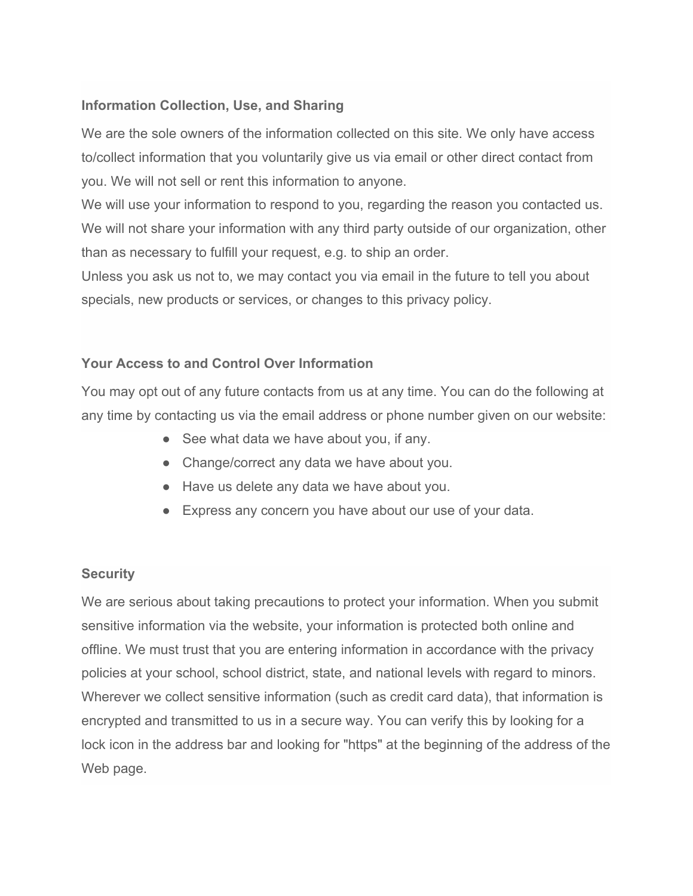# **Information Collection, Use, and Sharing**

We are the sole owners of the information collected on this site. We only have access to/collect information that you voluntarily give us via email or other direct contact from you. We will not sell or rent this information to anyone.

We will use your information to respond to you, regarding the reason you contacted us. We will not share your information with any third party outside of our organization, other than as necessary to fulfill your request, e.g. to ship an order.

Unless you ask us not to, we may contact you via email in the future to tell you about specials, new products or services, or changes to this privacy policy.

# **Your Access to and Control Over Information**

You may opt out of any future contacts from us at any time. You can do the following at any time by contacting us via the email address or phone number given on our website:

- See what data we have about you, if any.
- Change/correct any data we have about you.
- Have us delete any data we have about you.
- Express any concern you have about our use of your data.

#### **Security**

We are serious about taking precautions to protect your information. When you submit sensitive information via the website, your information is protected both online and offline. We must trust that you are entering information in accordance with the privacy policies at your school, school district, state, and national levels with regard to minors. Wherever we collect sensitive information (such as credit card data), that information is encrypted and transmitted to us in a secure way. You can verify this by looking for a lock icon in the address bar and looking for "https" at the beginning of the address of the Web page.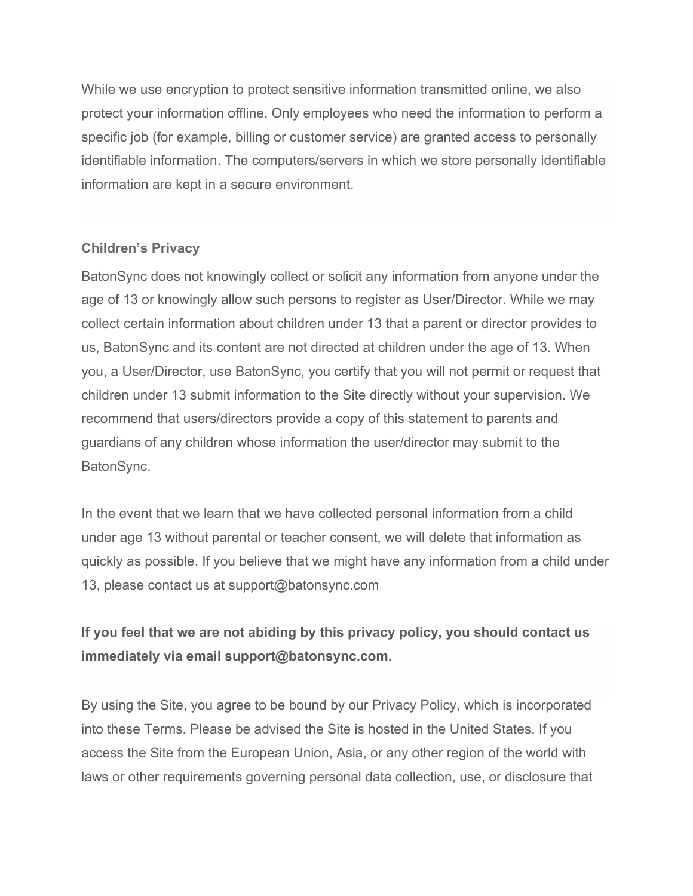While we use encryption to protect sensitive information transmitted online, we also protect your information offline. Only employees who need the information to perform a specific job (for example, billing or customer service) are granted access to personally identifiable information. The computers/servers in which we store personally identifiable information are kept in a secure environment.

#### **Children's Privacy**

BatonSync does not knowingly collect or solicit any information from anyone under the age of 13 or knowingly allow such persons to register as User/Director. While we may collect certain information about children under 13 that a parent or director provides to us, BatonSync and its content are not directed at children under the age of 13. When you, a User/Director, use BatonSync, you certify that you will not permit or request that children under 13 submit information to the Site directly without your supervision. We recommend that users/directors provide a copy of this statement to parents and guardians of any children whose information the user/director may submit to the BatonSync.

In the event that we learn that we have collected personal information from a child under age 13 without parental or teacher consent, we will delete that information as quickly as possible. If you believe that we might have any information from a child under 13, please contact us at [support@batonsync.com](mailto:support@batonsync.com)

# **If you feel that we are not abiding by this privacy policy, you should contact us immediately via email [support@batonsync.com](mailto:support@batonsync.com).**

By using the Site, you agree to be bound by our Privacy Policy, which is incorporated into these Terms. Please be advised the Site is hosted in the United States. If you access the Site from the European Union, Asia, or any other region of the world with laws or other requirements governing personal data collection, use, or disclosure that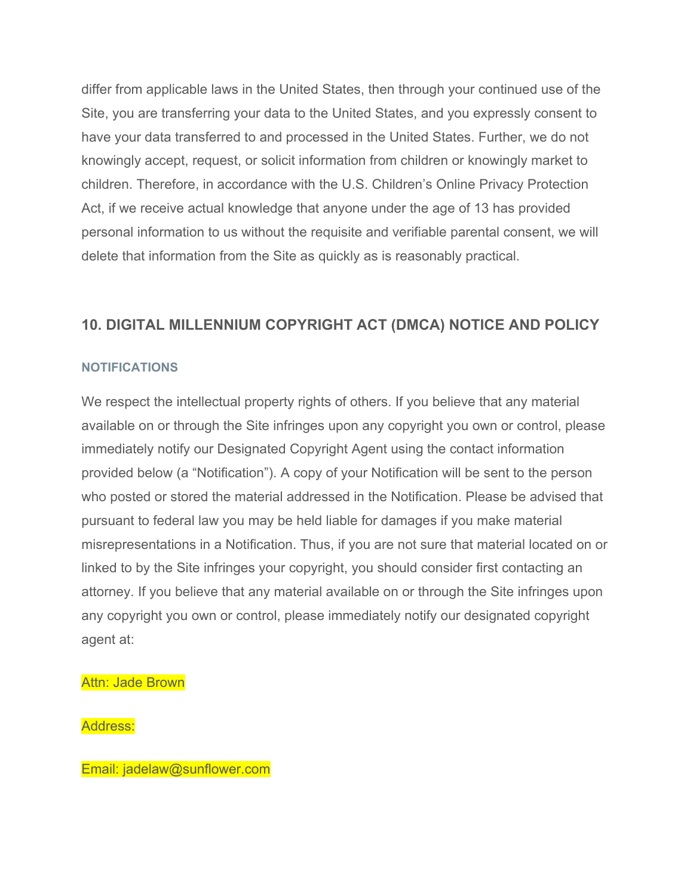differ from applicable laws in the United States, then through your continued use of the Site, you are transferring your data to the United States, and you expressly consent to have your data transferred to and processed in the United States. Further, we do not knowingly accept, request, or solicit information from children or knowingly market to children. Therefore, in accordance with the U.S. Children's Online Privacy Protection Act, if we receive actual knowledge that anyone under the age of 13 has provided personal information to us without the requisite and verifiable parental consent, we will delete that information from the Site as quickly as is reasonably practical.

# **10. DIGITAL MILLENNIUM COPYRIGHT ACT (DMCA) NOTICE AND POLICY**

#### **NOTIFICATIONS**

We respect the intellectual property rights of others. If you believe that any material available on or through the Site infringes upon any copyright you own or control, please immediately notify our Designated Copyright Agent using the contact information provided below (a "Notification"). A copy of your Notification will be sent to the person who posted or stored the material addressed in the Notification. Please be advised that pursuant to federal law you may be held liable for damages if you make material misrepresentations in a Notification. Thus, if you are not sure that material located on or linked to by the Site infringes your copyright, you should consider first contacting an attorney. If you believe that any material available on or through the Site infringes upon any copyright you own or control, please immediately notify our designated copyright agent at:

Attn: Jade Brown

Address:

Email: jadelaw@sunflower.com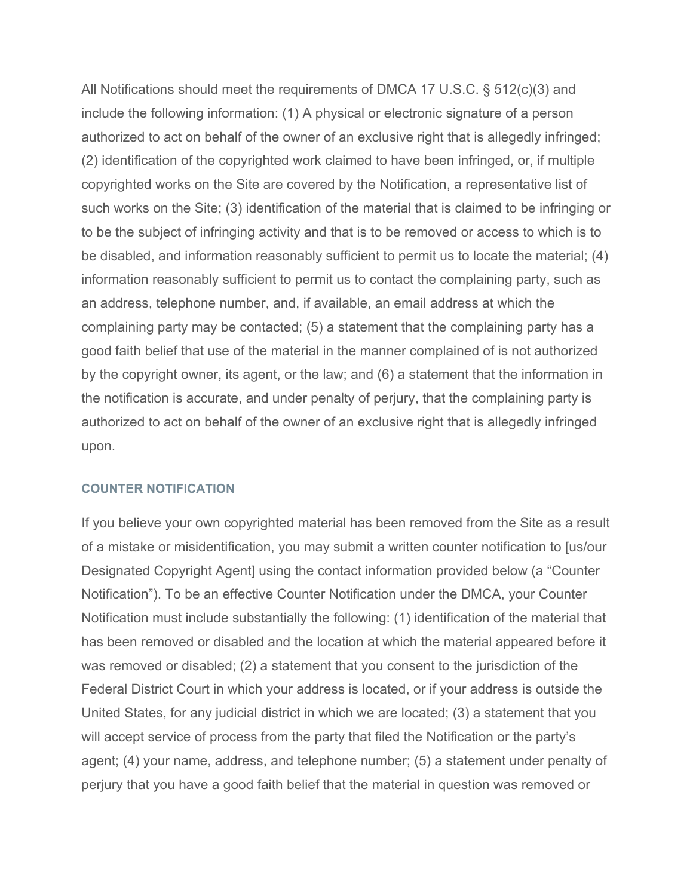All Notifications should meet the requirements of DMCA 17 U.S.C. § 512(c)(3) and include the following information: (1) A physical or electronic signature of a person authorized to act on behalf of the owner of an exclusive right that is allegedly infringed; (2) identification of the copyrighted work claimed to have been infringed, or, if multiple copyrighted works on the Site are covered by the Notification, a representative list of such works on the Site; (3) identification of the material that is claimed to be infringing or to be the subject of infringing activity and that is to be removed or access to which is to be disabled, and information reasonably sufficient to permit us to locate the material; (4) information reasonably sufficient to permit us to contact the complaining party, such as an address, telephone number, and, if available, an email address at which the complaining party may be contacted; (5) a statement that the complaining party has a good faith belief that use of the material in the manner complained of is not authorized by the copyright owner, its agent, or the law; and (6) a statement that the information in the notification is accurate, and under penalty of perjury, that the complaining party is authorized to act on behalf of the owner of an exclusive right that is allegedly infringed upon.

#### **COUNTER NOTIFICATION**

If you believe your own copyrighted material has been removed from the Site as a result of a mistake or misidentification, you may submit a written counter notification to [us/our Designated Copyright Agent] using the contact information provided below (a "Counter Notification"). To be an effective Counter Notification under the DMCA, your Counter Notification must include substantially the following: (1) identification of the material that has been removed or disabled and the location at which the material appeared before it was removed or disabled; (2) a statement that you consent to the jurisdiction of the Federal District Court in which your address is located, or if your address is outside the United States, for any judicial district in which we are located; (3) a statement that you will accept service of process from the party that filed the Notification or the party's agent; (4) your name, address, and telephone number; (5) a statement under penalty of perjury that you have a good faith belief that the material in question was removed or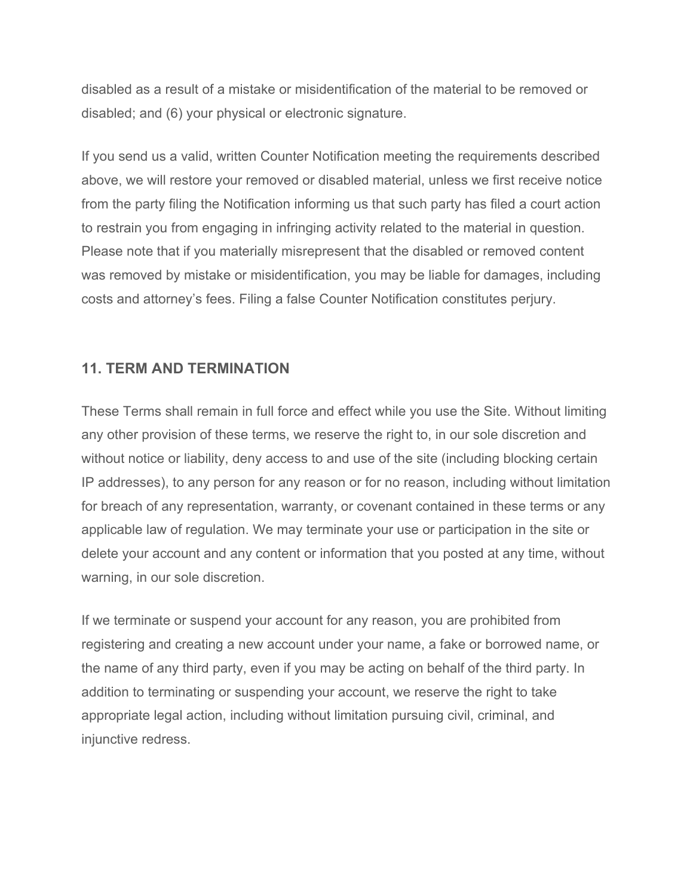disabled as a result of a mistake or misidentification of the material to be removed or disabled; and (6) your physical or electronic signature.

If you send us a valid, written Counter Notification meeting the requirements described above, we will restore your removed or disabled material, unless we first receive notice from the party filing the Notification informing us that such party has filed a court action to restrain you from engaging in infringing activity related to the material in question. Please note that if you materially misrepresent that the disabled or removed content was removed by mistake or misidentification, you may be liable for damages, including costs and attorney's fees. Filing a false Counter Notification constitutes perjury.

# **11. TERM AND TERMINATION**

These Terms shall remain in full force and effect while you use the Site. Without limiting any other provision of these terms, we reserve the right to, in our sole discretion and without notice or liability, deny access to and use of the site (including blocking certain IP addresses), to any person for any reason or for no reason, including without limitation for breach of any representation, warranty, or covenant contained in these terms or any applicable law of regulation. We may terminate your use or participation in the site or delete your account and any content or information that you posted at any time, without warning, in our sole discretion.

If we terminate or suspend your account for any reason, you are prohibited from registering and creating a new account under your name, a fake or borrowed name, or the name of any third party, even if you may be acting on behalf of the third party. In addition to terminating or suspending your account, we reserve the right to take appropriate legal action, including without limitation pursuing civil, criminal, and injunctive redress.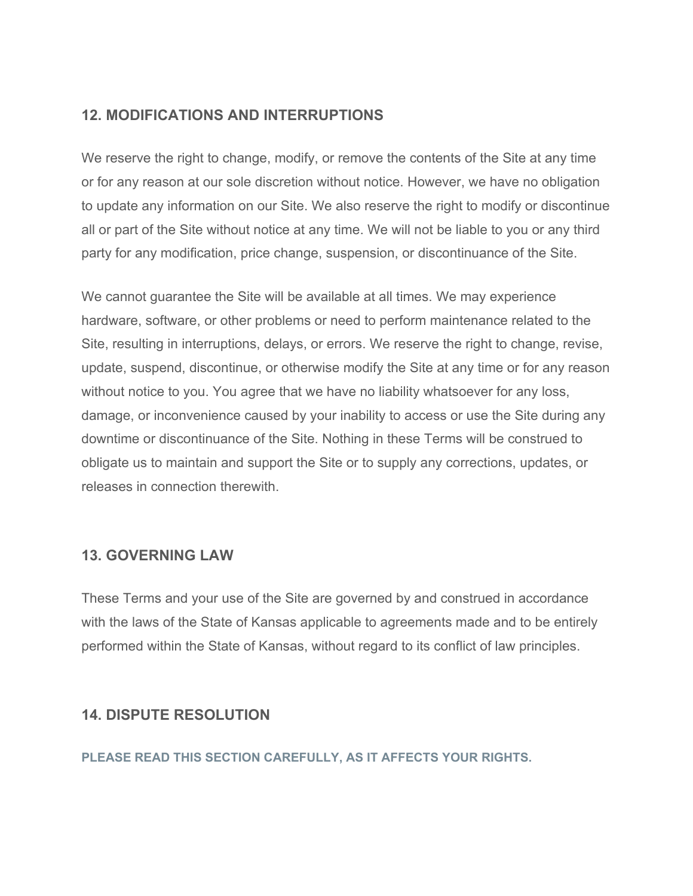# **12. MODIFICATIONS AND INTERRUPTIONS**

We reserve the right to change, modify, or remove the contents of the Site at any time or for any reason at our sole discretion without notice. However, we have no obligation to update any information on our Site. We also reserve the right to modify or discontinue all or part of the Site without notice at any time. We will not be liable to you or any third party for any modification, price change, suspension, or discontinuance of the Site.

We cannot guarantee the Site will be available at all times. We may experience hardware, software, or other problems or need to perform maintenance related to the Site, resulting in interruptions, delays, or errors. We reserve the right to change, revise, update, suspend, discontinue, or otherwise modify the Site at any time or for any reason without notice to you. You agree that we have no liability whatsoever for any loss, damage, or inconvenience caused by your inability to access or use the Site during any downtime or discontinuance of the Site. Nothing in these Terms will be construed to obligate us to maintain and support the Site or to supply any corrections, updates, or releases in connection therewith.

# **13. GOVERNING LAW**

These Terms and your use of the Site are governed by and construed in accordance with the laws of the State of Kansas applicable to agreements made and to be entirely performed within the State of Kansas, without regard to its conflict of law principles.

#### **14. DISPUTE RESOLUTION**

**PLEASE READ THIS SECTION CAREFULLY, AS IT AFFECTS YOUR RIGHTS.**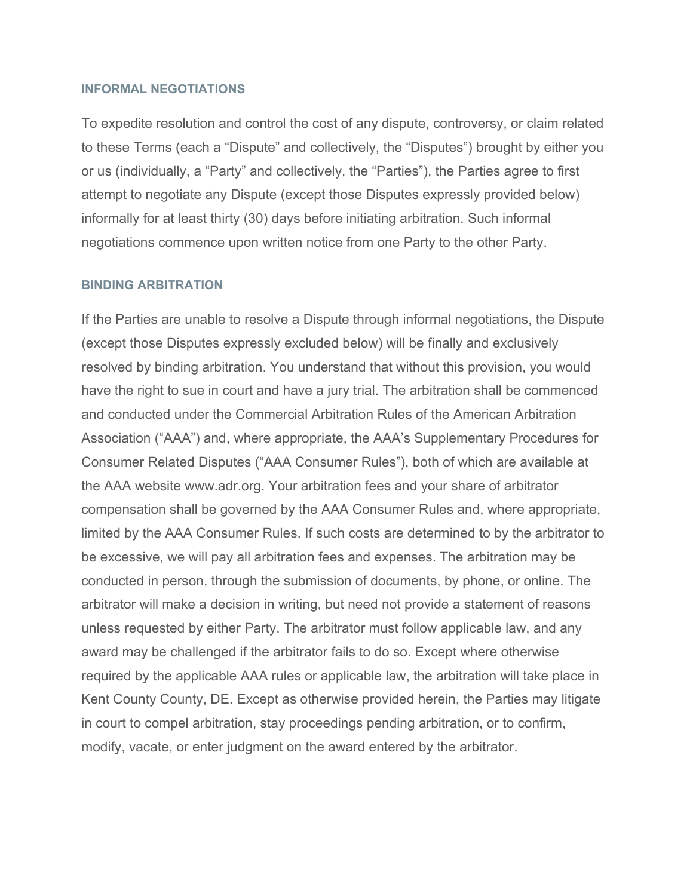#### **INFORMAL NEGOTIATIONS**

To expedite resolution and control the cost of any dispute, controversy, or claim related to these Terms (each a "Dispute" and collectively, the "Disputes") brought by either you or us (individually, a "Party" and collectively, the "Parties"), the Parties agree to first attempt to negotiate any Dispute (except those Disputes expressly provided below) informally for at least thirty (30) days before initiating arbitration. Such informal negotiations commence upon written notice from one Party to the other Party.

#### **BINDING ARBITRATION**

If the Parties are unable to resolve a Dispute through informal negotiations, the Dispute (except those Disputes expressly excluded below) will be finally and exclusively resolved by binding arbitration. You understand that without this provision, you would have the right to sue in court and have a jury trial. The arbitration shall be commenced and conducted under the Commercial Arbitration Rules of the American Arbitration Association ("AAA") and, where appropriate, the AAA's Supplementary Procedures for Consumer Related Disputes ("AAA Consumer Rules"), both of which are available at the AAA website www.adr.org. Your arbitration fees and your share of arbitrator compensation shall be governed by the AAA Consumer Rules and, where appropriate, limited by the AAA Consumer Rules. If such costs are determined to by the arbitrator to be excessive, we will pay all arbitration fees and expenses. The arbitration may be conducted in person, through the submission of documents, by phone, or online. The arbitrator will make a decision in writing, but need not provide a statement of reasons unless requested by either Party. The arbitrator must follow applicable law, and any award may be challenged if the arbitrator fails to do so. Except where otherwise required by the applicable AAA rules or applicable law, the arbitration will take place in Kent County County, DE. Except as otherwise provided herein, the Parties may litigate in court to compel arbitration, stay proceedings pending arbitration, or to confirm, modify, vacate, or enter judgment on the award entered by the arbitrator.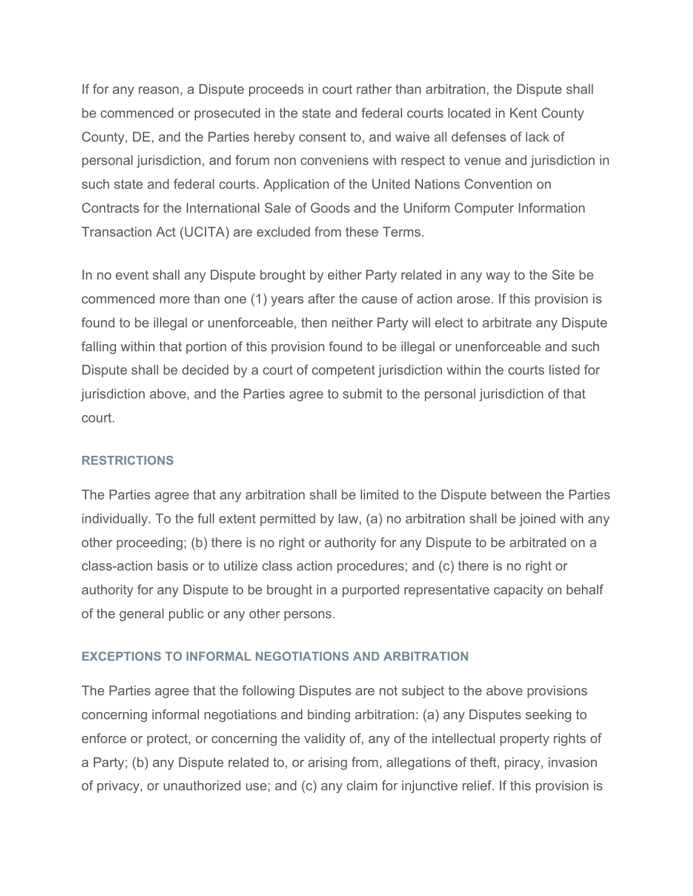If for any reason, a Dispute proceeds in court rather than arbitration, the Dispute shall be commenced or prosecuted in the state and federal courts located in Kent County County, DE, and the Parties hereby consent to, and waive all defenses of lack of personal jurisdiction, and forum non conveniens with respect to venue and jurisdiction in such state and federal courts. Application of the United Nations Convention on Contracts for the International Sale of Goods and the Uniform Computer Information Transaction Act (UCITA) are excluded from these Terms.

In no event shall any Dispute brought by either Party related in any way to the Site be commenced more than one (1) years after the cause of action arose. If this provision is found to be illegal or unenforceable, then neither Party will elect to arbitrate any Dispute falling within that portion of this provision found to be illegal or unenforceable and such Dispute shall be decided by a court of competent jurisdiction within the courts listed for jurisdiction above, and the Parties agree to submit to the personal jurisdiction of that court.

#### **RESTRICTIONS**

The Parties agree that any arbitration shall be limited to the Dispute between the Parties individually. To the full extent permitted by law, (a) no arbitration shall be joined with any other proceeding; (b) there is no right or authority for any Dispute to be arbitrated on a class-action basis or to utilize class action procedures; and (c) there is no right or authority for any Dispute to be brought in a purported representative capacity on behalf of the general public or any other persons.

#### **EXCEPTIONS TO INFORMAL NEGOTIATIONS AND ARBITRATION**

The Parties agree that the following Disputes are not subject to the above provisions concerning informal negotiations and binding arbitration: (a) any Disputes seeking to enforce or protect, or concerning the validity of, any of the intellectual property rights of a Party; (b) any Dispute related to, or arising from, allegations of theft, piracy, invasion of privacy, or unauthorized use; and (c) any claim for injunctive relief. If this provision is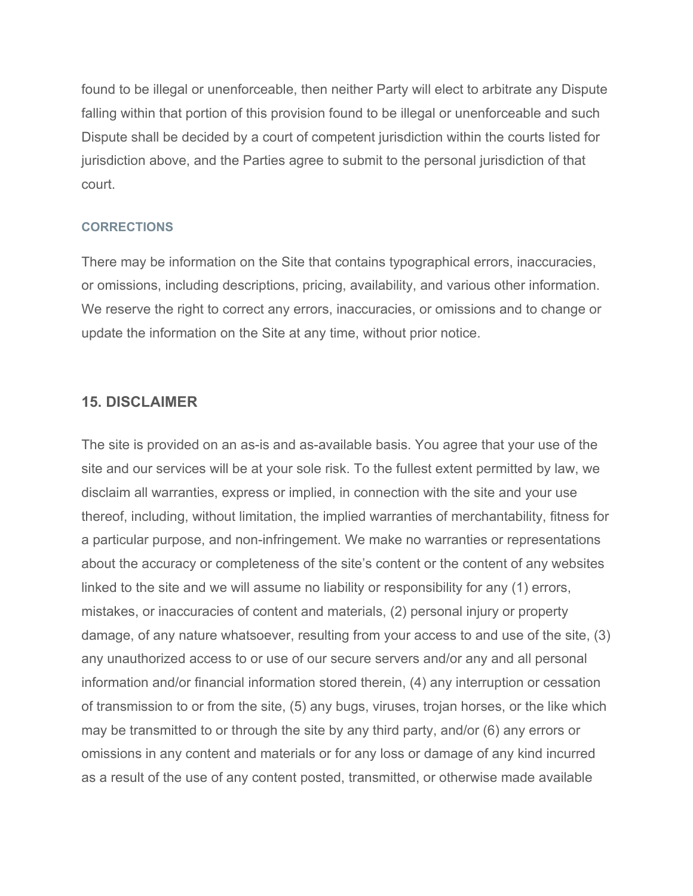found to be illegal or unenforceable, then neither Party will elect to arbitrate any Dispute falling within that portion of this provision found to be illegal or unenforceable and such Dispute shall be decided by a court of competent jurisdiction within the courts listed for jurisdiction above, and the Parties agree to submit to the personal jurisdiction of that court.

#### **CORRECTIONS**

There may be information on the Site that contains typographical errors, inaccuracies, or omissions, including descriptions, pricing, availability, and various other information. We reserve the right to correct any errors, inaccuracies, or omissions and to change or update the information on the Site at any time, without prior notice.

#### **15. DISCLAIMER**

The site is provided on an as-is and as-available basis. You agree that your use of the site and our services will be at your sole risk. To the fullest extent permitted by law, we disclaim all warranties, express or implied, in connection with the site and your use thereof, including, without limitation, the implied warranties of merchantability, fitness for a particular purpose, and non-infringement. We make no warranties or representations about the accuracy or completeness of the site's content or the content of any websites linked to the site and we will assume no liability or responsibility for any (1) errors, mistakes, or inaccuracies of content and materials, (2) personal injury or property damage, of any nature whatsoever, resulting from your access to and use of the site, (3) any unauthorized access to or use of our secure servers and/or any and all personal information and/or financial information stored therein, (4) any interruption or cessation of transmission to or from the site, (5) any bugs, viruses, trojan horses, or the like which may be transmitted to or through the site by any third party, and/or (6) any errors or omissions in any content and materials or for any loss or damage of any kind incurred as a result of the use of any content posted, transmitted, or otherwise made available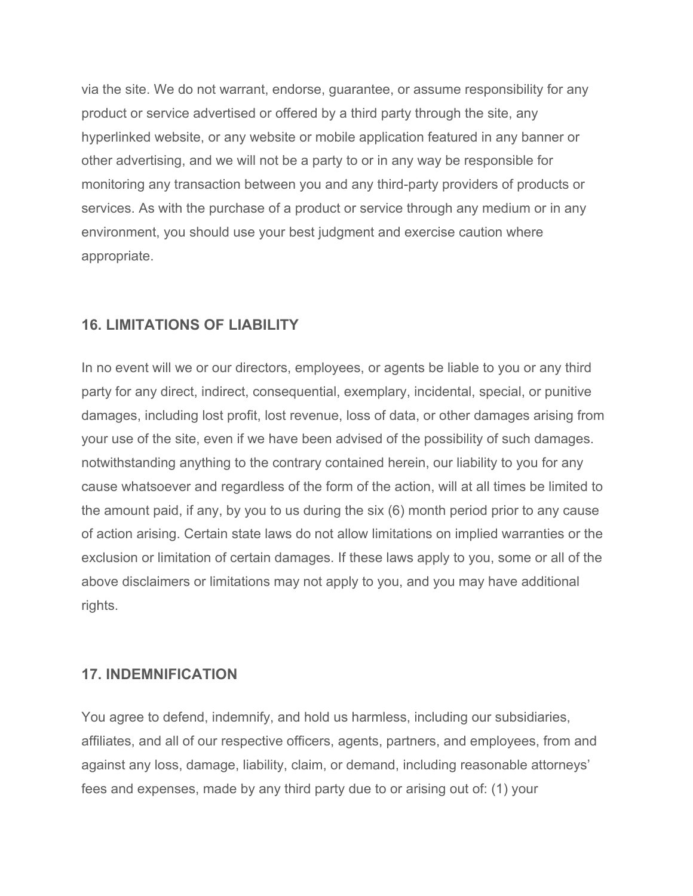via the site. We do not warrant, endorse, guarantee, or assume responsibility for any product or service advertised or offered by a third party through the site, any hyperlinked website, or any website or mobile application featured in any banner or other advertising, and we will not be a party to or in any way be responsible for monitoring any transaction between you and any third-party providers of products or services. As with the purchase of a product or service through any medium or in any environment, you should use your best judgment and exercise caution where appropriate.

# **16. LIMITATIONS OF LIABILITY**

In no event will we or our directors, employees, or agents be liable to you or any third party for any direct, indirect, consequential, exemplary, incidental, special, or punitive damages, including lost profit, lost revenue, loss of data, or other damages arising from your use of the site, even if we have been advised of the possibility of such damages. notwithstanding anything to the contrary contained herein, our liability to you for any cause whatsoever and regardless of the form of the action, will at all times be limited to the amount paid, if any, by you to us during the six (6) month period prior to any cause of action arising. Certain state laws do not allow limitations on implied warranties or the exclusion or limitation of certain damages. If these laws apply to you, some or all of the above disclaimers or limitations may not apply to you, and you may have additional rights.

#### **17. INDEMNIFICATION**

You agree to defend, indemnify, and hold us harmless, including our subsidiaries, affiliates, and all of our respective officers, agents, partners, and employees, from and against any loss, damage, liability, claim, or demand, including reasonable attorneys' fees and expenses, made by any third party due to or arising out of: (1) your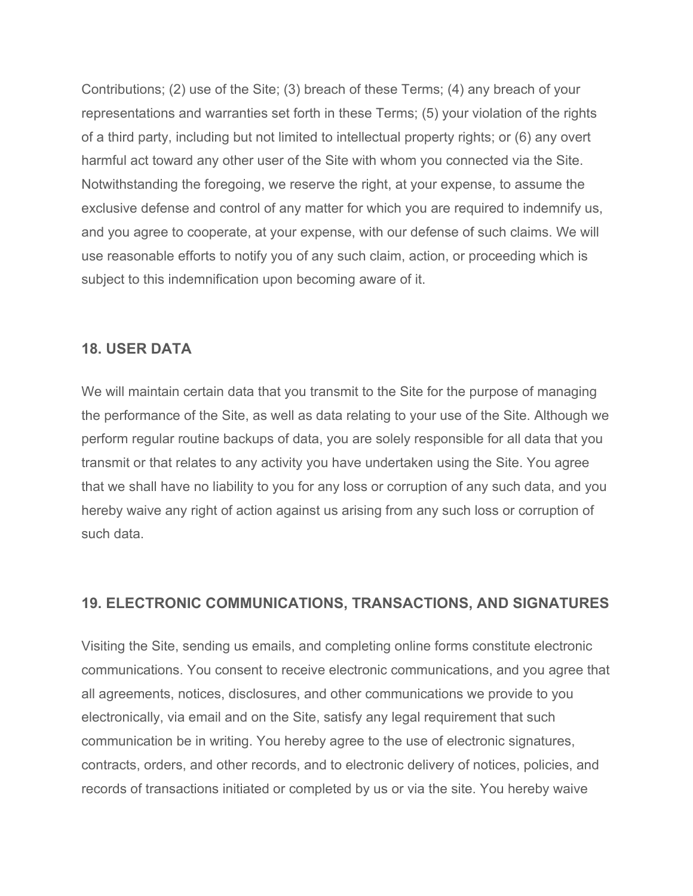Contributions; (2) use of the Site; (3) breach of these Terms; (4) any breach of your representations and warranties set forth in these Terms; (5) your violation of the rights of a third party, including but not limited to intellectual property rights; or (6) any overt harmful act toward any other user of the Site with whom you connected via the Site. Notwithstanding the foregoing, we reserve the right, at your expense, to assume the exclusive defense and control of any matter for which you are required to indemnify us, and you agree to cooperate, at your expense, with our defense of such claims. We will use reasonable efforts to notify you of any such claim, action, or proceeding which is subject to this indemnification upon becoming aware of it.

## **18. USER DATA**

We will maintain certain data that you transmit to the Site for the purpose of managing the performance of the Site, as well as data relating to your use of the Site. Although we perform regular routine backups of data, you are solely responsible for all data that you transmit or that relates to any activity you have undertaken using the Site. You agree that we shall have no liability to you for any loss or corruption of any such data, and you hereby waive any right of action against us arising from any such loss or corruption of such data.

# **19. ELECTRONIC COMMUNICATIONS, TRANSACTIONS, AND SIGNATURES**

Visiting the Site, sending us emails, and completing online forms constitute electronic communications. You consent to receive electronic communications, and you agree that all agreements, notices, disclosures, and other communications we provide to you electronically, via email and on the Site, satisfy any legal requirement that such communication be in writing. You hereby agree to the use of electronic signatures, contracts, orders, and other records, and to electronic delivery of notices, policies, and records of transactions initiated or completed by us or via the site. You hereby waive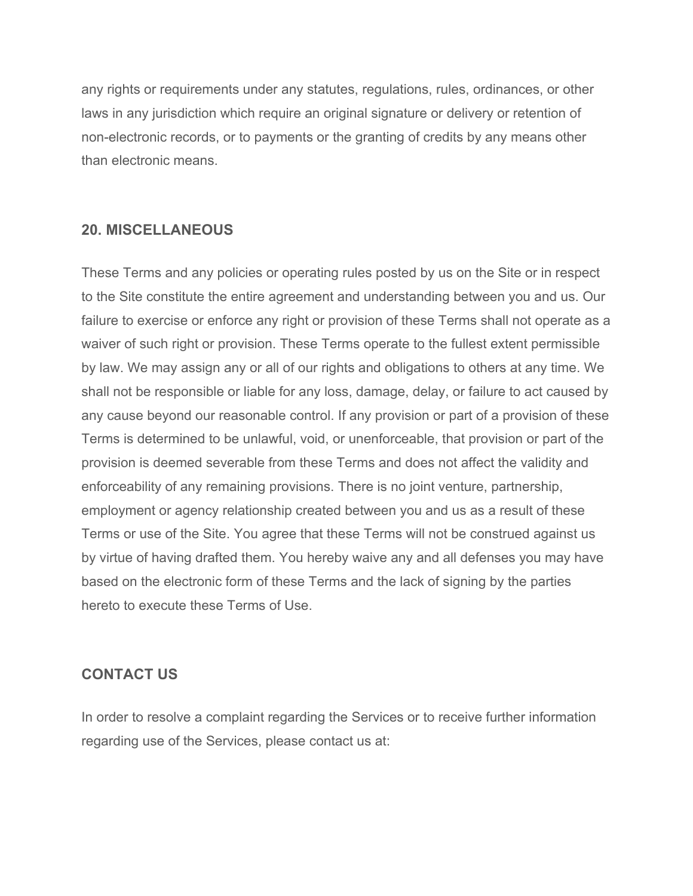any rights or requirements under any statutes, regulations, rules, ordinances, or other laws in any jurisdiction which require an original signature or delivery or retention of non-electronic records, or to payments or the granting of credits by any means other than electronic means.

# **20. MISCELLANEOUS**

These Terms and any policies or operating rules posted by us on the Site or in respect to the Site constitute the entire agreement and understanding between you and us. Our failure to exercise or enforce any right or provision of these Terms shall not operate as a waiver of such right or provision. These Terms operate to the fullest extent permissible by law. We may assign any or all of our rights and obligations to others at any time. We shall not be responsible or liable for any loss, damage, delay, or failure to act caused by any cause beyond our reasonable control. If any provision or part of a provision of these Terms is determined to be unlawful, void, or unenforceable, that provision or part of the provision is deemed severable from these Terms and does not affect the validity and enforceability of any remaining provisions. There is no joint venture, partnership, employment or agency relationship created between you and us as a result of these Terms or use of the Site. You agree that these Terms will not be construed against us by virtue of having drafted them. You hereby waive any and all defenses you may have based on the electronic form of these Terms and the lack of signing by the parties hereto to execute these Terms of Use.

#### **CONTACT US**

In order to resolve a complaint regarding the Services or to receive further information regarding use of the Services, please contact us at: